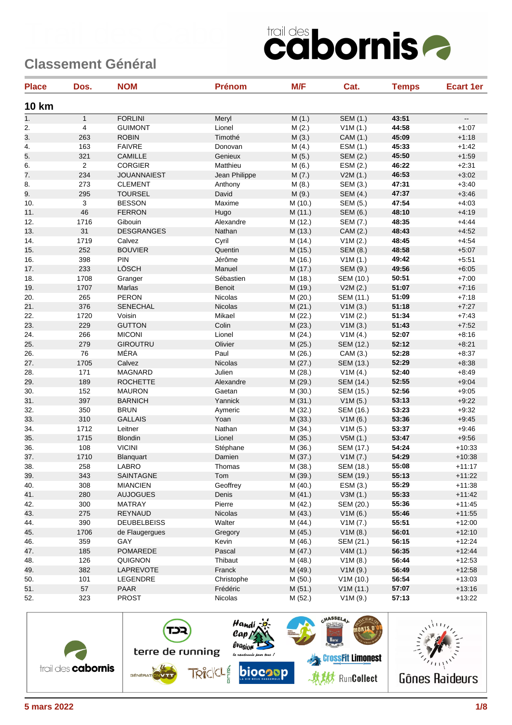| <b>Place</b> | Dos.           | <b>NOM</b>         | <b>Prénom</b> | M/F     | Cat.             | <b>Temps</b> | <b>Ecart 1er</b>         |
|--------------|----------------|--------------------|---------------|---------|------------------|--------------|--------------------------|
| <b>10 km</b> |                |                    |               |         |                  |              |                          |
| 1.           | $\mathbf{1}$   | <b>FORLINI</b>     | Meryl         | M(1.)   | SEM (1.)         | 43:51        | $\overline{\phantom{a}}$ |
| 2.           | $\overline{4}$ | <b>GUIMONT</b>     | Lionel        | M(2.)   | V1M(1.)          | 44:58        | $+1:07$                  |
| 3.           | 263            | <b>ROBIN</b>       | Timothé       | M(3.)   | CAM (1.)         | 45:09        | $+1:18$                  |
| 4.           | 163            | <b>FAIVRE</b>      | Donovan       | M(4.)   | ESM (1.)         | 45:33        | $+1:42$                  |
| 5.           | 321            | <b>CAMILLE</b>     | Genieux       | M(5.)   | SEM (2.)         | 45:50        | $+1.59$                  |
| 6.           | $\overline{2}$ | <b>CORGIER</b>     | Matthieu      | M(6.)   | ESM (2.)         | 46:22        | $+2:31$                  |
| 7.           | 234            | <b>JOUANNAIEST</b> | Jean Philippe | M(7.)   | V2M(1.)          | 46:53        | $+3:02$                  |
| 8.           | 273            | <b>CLEMENT</b>     | Anthony       | M(8.)   | SEM (3.)         | 47:31        | $+3:40$                  |
| 9.           | 295            | <b>TOURSEL</b>     | David         | M(9.)   | <b>SEM (4.)</b>  | 47:37        | $+3.46$                  |
| 10.          | 3              | <b>BESSON</b>      | Maxime        | M (10.) | SEM (5.)         | 47:54        | $+4:03$                  |
| 11.          | 46             | <b>FERRON</b>      | Hugo          | M (11.) | SEM (6.)         | 48:10        | $+4:19$                  |
| 12.          | 1716           | Gibouin            | Alexandre     | M (12.) | SEM (7.)         | 48:35        | $+4:44$                  |
| 13.          | 31             | <b>DESGRANGES</b>  | Nathan        | M (13.) | CAM (2.)         | 48:43        | $+4:52$                  |
| 14.          | 1719           | Calvez             | Cyril         | M (14.) | V1M(2.)          | 48:45        | $+4.54$                  |
| 15.          | 252            | <b>BOUVIER</b>     | Quentin       | M (15.) | <b>SEM (8.)</b>  | 48:58        | $+5:07$                  |
| 16.          | 398            | PIN                | Jérôme        | M (16.) | V1M(1.)          | 49:42        | $+5:51$                  |
| 17.          | 233            | LÖSCH              | Manuel        | M (17.) | SEM (9.)         | 49:56        | $+6:05$                  |
| 18.          | 1708           | Granger            | Sébastien     | M (18.) | SEM (10.)        | 50:51        | $+7:00$                  |
| 19.          | 1707           | Marlas             | Benoit        | M (19.) | V2M(2.)          | 51:07        | $+7:16$                  |
| 20.          | 265            | <b>PERON</b>       | Nicolas       | M (20.) | SEM (11.)        | 51:09        | $+7:18$                  |
| 21.          | 376            | <b>SENECHAL</b>    | Nicolas       | M(21.)  | V1M(3.)          | 51:18        | $+7:27$                  |
| 22.          | 1720           | Voisin             | Mikael        | M (22.) | V1M(2.)          | 51:34        | $+7:43$                  |
| 23.          | 229            | <b>GUTTON</b>      | Colin         | M(23.)  | V1M(3.)          | 51:43        | $+7:52$                  |
| 24.          | 266            | <b>MICONI</b>      | Lionel        | M (24.) | V1M(4.)          | 52:07        | $+8:16$                  |
| 25.          | 279            | <b>GIROUTRU</b>    | Olivier       | M (25.) | SEM (12.)        | 52:12        | $+8:21$                  |
| 26.          | 76             | MÉRA               | Paul          | M (26.) | CAM (3.)         | 52:28        | $+8:37$                  |
| 27.          | 1705           | Calvez             | Nicolas       | M (27.) | SEM (13.)        | 52:29        | $+8:38$                  |
| 28.          | 171            | <b>MAGNARD</b>     | Julien        | M (28.) | V1M(4.)          | 52:40        | $+8:49$                  |
| 29.          | 189            | <b>ROCHETTE</b>    | Alexandre     | M (29.) | SEM (14.)        | 52:55        | $+9:04$                  |
| 30.          | 152            | <b>MAURON</b>      | Gaetan        | M (30.) | <b>SEM (15.)</b> | 52:56        | $+9:05$                  |
| 31.          | 397            | <b>BARNICH</b>     | Yannick       | M (31.) | V1M(5.)          | 53:13        | $+9:22$                  |
| 32.          | 350            | <b>BRUN</b>        | Aymeric       | M (32.) | SEM (16.)        | 53:23        | $+9:32$                  |
| 33.          | 310            | <b>GALLAIS</b>     | Yoan          | M (33.) | V1M(6.)          | 53:36        | $+9.45$                  |
| 34.          | 1712           | Leitner            | Nathan        | M (34.) | V1M(5.)          | 53:37        | $+9.46$                  |
| 35.          | 1715           | <b>Blondin</b>     | Lionel        | M (35.) | V5M(1.)          | 53:47        | $+9.56$                  |
| 36.          | 108            | <b>VICINI</b>      | Stéphane      | M (36.) | <b>SEM (17.)</b> | 54:24        | $+10:33$                 |
| 37.          | 1710           | Blanquart          | Damien        | M (37.) | V1M(7.)          | 54:29        | $+10:38$                 |
| 38.          | 258            | LABRO              | Thomas        | M (38.) | SEM (18.)        | 55:08        | $+11:17$                 |
| 39.          | 343            | SAINTAGNE          | Tom           | M (39.) | SEM (19.)        | 55:13        | $+11:22$                 |
| 40.          | 308            | <b>MIANCIEN</b>    | Geoffrey      | M (40.) | ESM (3.)         | 55:29        | $+11:38$                 |
| 41.          | 280            | <b>AUJOGUES</b>    | Denis         | M(41.)  | V3M(1.)          | 55:33        | $+11.42$                 |
| 42.          | 300            | MATRAY             | Pierre        | M (42.) | SEM (20.)        | 55:36        | $+11.45$                 |
| 43.          | 275            | REYNAUD            | Nicolas       | M (43.) | V1M(6.)          | 55:46        | $+11:55$                 |
| 44.          | 390            | <b>DEUBELBEISS</b> | Walter        | M (44.) | V1M(7.)          | 55:51        | $+12:00$                 |
| 45.          | 1706           | de Flaugergues     | Gregory       | M (45.) | V1M(8.)          | 56:01        | $+12:10$                 |
| 46.          | 359            | GAY                | Kevin         | M (46.) | SEM (21.)        | 56:15        | $+12.24$                 |
| 47.          | 185            | POMAREDE           | Pascal        | M (47.) | V4M(1.)          | 56:35        | $+12:44$                 |
| 48.          | 126            | <b>QUIGNON</b>     | Thibaut       | M (48.) | V1M(8.)          | 56:44        | $+12:53$                 |
| 49.          | 382            | LAPREVOTE          | Franck        | M (49.) | V1M(9.)          | 56:49        | $+12:58$                 |
| 50.          | 101            | LEGENDRE           | Christophe    | M (50.) | V1M(10.)         | 56:54        | $+13:03$                 |
| 51.          | 57             | <b>PAAR</b>        | Frédéric      | M(51.)  | V1M(11.)         | 57:07        | $+13:16$                 |
| 52.          | 323            | <b>PROST</b>       | Nicolas       | M (52.) | V1M(9.)          | 57:13        | $+13:22$                 |

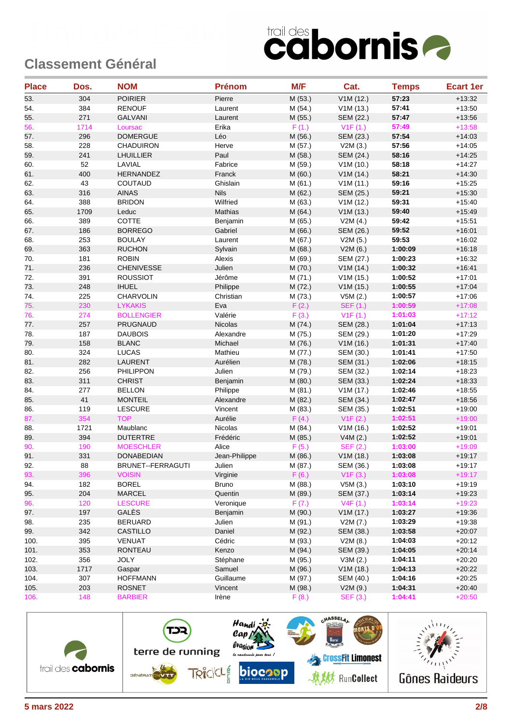| <b>Place</b> | Dos. | <b>NOM</b>        | <b>Prénom</b> | M/F     | Cat.             | <b>Temps</b> | <b>Ecart 1er</b> |
|--------------|------|-------------------|---------------|---------|------------------|--------------|------------------|
| 53.          | 304  | <b>POIRIER</b>    | Pierre        | M (53.) | V1M(12.)         | 57:23        | $+13:32$         |
| 54.          | 384  | <b>RENOUF</b>     | Laurent       | M (54.) | V1M (13.)        | 57:41        | $+13:50$         |
| 55.          | 271  | <b>GALVANI</b>    | Laurent       | M(55.)  | SEM (22.)        | 57:47        | $+13:56$         |
| 56.          | 1714 | Loursac           | Erika         | F(1.)   | V1F(1.)          | 57:49        | $+13:58$         |
| 57.          | 296  | <b>DOMERGUE</b>   | Léo           | M (56.) | SEM (23.)        | 57:54        | $+14:03$         |
| 58.          | 228  | <b>CHADUIRON</b>  | Herve         | M (57.) | V2M(3.)          | 57:56        | $+14:05$         |
| 59.          | 241  | <b>LHUILLIER</b>  | Paul          | M (58.) | <b>SEM (24.)</b> | 58:16        | $+14.25$         |
| 60.          | 52   | LAVIAL            | Fabrice       | M (59.) | V1M(10.)         | 58:18        | $+14:27$         |
| 61.          | 400  | <b>HERNANDEZ</b>  | Franck        | M(60.)  | V1M (14.)        | 58:21        | $+14:30$         |
| 62.          | 43   | COUTAUD           | Ghislain      | M (61.) | V1M(11.)         | 59:16        | $+15:25$         |
| 63.          | 316  | <b>AINAS</b>      | <b>Nils</b>   | M (62.) | SEM (25.)        | 59:21        | $+15:30$         |
| 64.          | 388  | <b>BRIDON</b>     | Wilfried      | M (63.) | V1M(12.)         | 59:31        | $+15:40$         |
| 65.          | 1709 | Leduc             | Mathias       | M (64.) | V1M(13.)         | 59:40        | $+15:49$         |
| 66.          | 389  | <b>COTTE</b>      | Benjamin      | M (65.) | V2M(4.)          | 59:42        | $+15:51$         |
| 67.          | 186  | <b>BORREGO</b>    | Gabriel       | M (66.) | SEM (26.)        | 59:52        | $+16:01$         |
| 68.          | 253  | <b>BOULAY</b>     | Laurent       | M (67.) | V2M(5.)          | 59:53        | $+16:02$         |
| 69.          | 363  | <b>RUCHON</b>     | Sylvain       | M (68.) | V2M(6.)          | 1:00:09      | $+16:18$         |
| 70.          | 181  | <b>ROBIN</b>      | Alexis        | M (69.) | SEM (27.)        | 1:00:23      | $+16:32$         |
| 71.          | 236  | <b>CHENIVESSE</b> | Julien        | M (70.) | V1M(14.)         | 1:00:32      | $+16.41$         |
| 72.          | 391  | <b>ROUSSIOT</b>   | Jérôme        | M (71.) | V1M(15.)         | 1:00:52      | $+17:01$         |
| 73.          | 248  | <b>IHUEL</b>      | Philippe      | M (72.) | V1M (15.)        | 1:00:55      | $+17:04$         |
| 74.          | 225  | <b>CHARVOLIN</b>  | Christian     | M (73.) | V5M(2.)          | 1:00:57      | $+17:06$         |
| 75.          | 230  | <b>LYKAKIS</b>    | Eva           | F(2.)   | <b>SEF (1.)</b>  | 1:00:59      | $+17:08$         |
| 76.          | 274  | <b>BOLLENGIER</b> | Valérie       | F(3.)   | V1F(1.)          | 1:01:03      | $+17:12$         |
| 77.          | 257  | <b>PRUGNAUD</b>   | Nicolas       | M (74.) | SEM (28.)        | 1:01:04      | $+17:13$         |
| 78.          | 187  | <b>DAUBOIS</b>    | Alexandre     | M (75.) | SEM (29.)        | 1:01:20      | $+17:29$         |
| 79.          | 158  | <b>BLANC</b>      | Michael       | M (76.) | V1M(16.)         | 1:01:31      | $+17:40$         |
| 80.          | 324  | <b>LUCAS</b>      | Mathieu       | M (77.) | SEM (30.)        | 1:01:41      | $+17:50$         |
| 81.          | 282  | <b>LAURENT</b>    | Aurélien      | M (78.) | SEM (31.)        | 1:02:06      | $+18:15$         |
| 82.          | 256  | <b>PHILIPPON</b>  | Julien        | M (79.) | SEM (32.)        | 1:02:14      | $+18:23$         |
| 83.          | 311  | <b>CHRIST</b>     | Benjamin      | M(80.)  | SEM (33.)        | 1:02:24      | $+18:33$         |
| 84.          | 277  | <b>BELLON</b>     | Philippe      | M (81.) | V1M(17.)         | 1:02:46      | $+18:55$         |
| 85.          | 41   | <b>MONTEIL</b>    | Alexandre     | M (82.) | SEM (34.)        | 1:02:47      | $+18:56$         |
| 86.          | 119  | <b>LESCURE</b>    | Vincent       | M (83.) | SEM (35.)        | 1:02:51      | $+19:00$         |
| 87.          | 354  | <b>TOP</b>        | Aurélie       | F(4.)   | V1F(2.)          | 1:02:51      | $+19:00$         |
| 88.          | 1721 | Maublanc          | Nicolas       | M(84.)  | V1M (16.)        | 1:02:52      | $+19:01$         |
| 89.          | 394  | <b>DUTERTRE</b>   | Frédéric      | M (85.) | V4M (2.)         | 1:02:52      | $+19:01$         |
| 90.          | 190  | <b>MOESCHLER</b>  | Alice         | F(5.)   | SEF (2.)         | 1:03:00      | $+19:09$         |
| 91.          | 331  | <b>DONABEDIAN</b> | Jean-Philippe | M (86.) | V1M(18.)         | 1:03:08      | $+19:17$         |
| 92.          | 88   | BRUNET--FERRAGUTI | Julien        | M (87.) | SEM (36.)        | 1:03:08      | $+19:17$         |
| 93.          | 396  | <b>VOISIN</b>     | Virginie      | F(6.)   | V1F(3.)          | 1:03:08      | $+19:17$         |
| 94.          | 182  | <b>BOREL</b>      | Bruno         | M (88.) | V5M(3.)          | 1:03:10      | $+19:19$         |
| 95.          | 204  | MARCEL            | Quentin       | M (89.) | SEM (37.)        | 1:03:14      | $+19:23$         |
| 96.          | 120  | <b>LESCURE</b>    | Veronique     | F(7.)   | V4F(1.)          | 1:03:14      | $+19:23$         |
| 97.          | 197  | GALÈS             | Benjamin      | M (90.) | V1M(17.)         | 1:03:27      | $+19:36$         |
| 98.          | 235  | <b>BERUARD</b>    | Julien        | M (91.) | V2M (7.)         | 1:03:29      | $+19:38$         |
| 99.          | 342  | <b>CASTILLO</b>   | Daniel        | M (92.) | SEM (38.)        | 1:03:58      | $+20:07$         |
| 100.         | 395  | VENUAT            | Cédric        | M (93.) | V2M(8.)          | 1:04:03      | $+20:12$         |
| 101.         | 353  | RONTEAU           | Kenzo         | M (94.) | SEM (39.)        | 1:04:05      | $+20:14$         |
| 102.         | 356  | <b>JOLY</b>       | Stéphane      | M (95.) | V3M(2.)          | 1:04:11      | $+20:20$         |
| 103.         | 1717 | Gaspar            | Samuel        | M (96.) | V1M(18.)         | 1:04:13      | $+20:22$         |
| 104.         | 307  | <b>HOFFMANN</b>   | Guillaume     | M (97.) | SEM (40.)        | 1:04:16      | $+20.25$         |
| 105.         | 203  | <b>ROSNET</b>     | Vincent       | M (98.) | V2M(9.)          | 1:04:31      | $+20:40$         |
| 106.         | 148  | <b>BARBIER</b>    | Irène         | F(8.)   | SEF (3.)         | 1:04:41      | $+20:50$         |

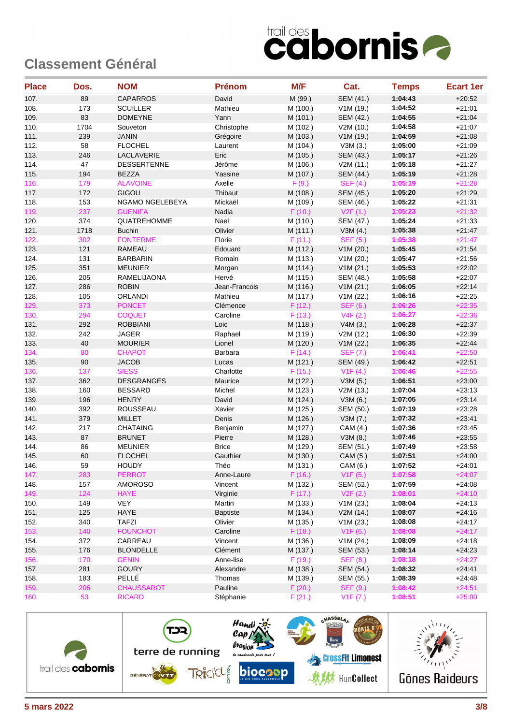| <b>Place</b> | Dos. | <b>NOM</b>         | <b>Prénom</b>   | M/F      | Cat.             | <b>Temps</b> | <b>Ecart 1er</b> |
|--------------|------|--------------------|-----------------|----------|------------------|--------------|------------------|
| 107.         | 89   | <b>CAPARROS</b>    | David           | M (99.)  | <b>SEM (41.)</b> | 1:04:43      | $+20:52$         |
| 108.         | 173  | <b>SCUILLER</b>    | Mathieu         | M (100.) | V1M (19.)        | 1:04:52      | $+21:01$         |
| 109.         | 83   | <b>DOMEYNE</b>     | Yann            | M (101.) | <b>SEM (42.)</b> | 1:04:55      | $+21:04$         |
| 110.         | 1704 | Souveton           | Christophe      | M (102.) | V2M (10.)        | 1:04:58      | $+21:07$         |
| 111.         | 239  | <b>JANIN</b>       | Grégoire        | M (103.) | V1M (19.)        | 1:04:59      | $+21:08$         |
| 112.         | 58   | <b>FLOCHEL</b>     | Laurent         | M (104.) | V3M(3.)          | 1:05:00      | $+21:09$         |
| 113.         | 246  | LACLAVERIE         | Eric            | M (105.) | SEM (43.)        | 1:05:17      | $+21:26$         |
| 114.         | 47   | <b>DESSERTENNE</b> | Jérôme          | M (106.) | V2M (11.)        | 1:05:18      | $+21.27$         |
| 115.         | 194  | <b>BEZZA</b>       | Yassine         | M (107.) | SEM (44.)        | 1:05:19      | $+21:28$         |
| 116.         | 179  | <b>ALAVOINE</b>    | Axelle          | F(9.)    | SEF(4.)          | 1:05:19      | $+21:28$         |
| 117.         | 172  | GIGOU              | Thibaut         | M (108.) | SEM (45.)        | 1:05:20      | $+21:29$         |
| 118.         | 153  | NGAMO NGELEBEYA    | Mickaël         | M (109.) | SEM (46.)        | 1:05:22      | $+21:31$         |
| 119.         | 237  | <b>GUENIFA</b>     | Nadia           | F(10.)   | V2F(1.)          | 1:05:23      | $+21:32$         |
| 120.         | 374  | QUATREHOMME        | Nael            | M (110.) | SEM (47.)        | 1:05:24      | $+21:33$         |
| 121.         | 1718 | <b>Buchin</b>      | Olivier         | M (111.) | V3M(4.)          | 1:05:38      | $+21.47$         |
| 122.         | 302  | <b>FONTERME</b>    | Florie          | F(11.)   | <b>SEF (5.)</b>  | 1:05:38      | $+21:47$         |
| 123.         | 121  | <b>RAMEAU</b>      | Edouard         | M (112.) | V1M(20.)         | 1:05:45      | $+21:54$         |
| 124.         | 131  | <b>BARBARIN</b>    | Romain          | M (113.) | V1M (20.)        | 1:05:47      | $+21:56$         |
| 125.         | 351  | <b>MEUNIER</b>     | Morgan          | M (114.) | V1M(21.)         | 1:05:53      | $+22:02$         |
| 126.         | 205  | RAMELIJAONA        | Hervé           | M (115.) | SEM (48.)        | 1:05:58      | $+22:07$         |
| 127.         | 286  | <b>ROBIN</b>       | Jean-Francois   | M (116.) | V1M (21.)        | 1:06:05      | $+22:14$         |
| 128.         | 105  | <b>ORLANDI</b>     | Mathieu         | M (117.) | V1M (22.)        | 1:06:16      | $+22:25$         |
| 129.         | 373  | <b>PONCET</b>      | Clémence        | F(12.)   | <b>SEF (6.)</b>  | 1:06:26      | $+22:35$         |
| 130.         | 294  | <b>COQUET</b>      | Caroline        | F(13.)   | V4F(2.)          | 1:06:27      | $+22:36$         |
| 131.         | 292  | <b>ROBBIANI</b>    | Loic            | M (118.) | V4M(3.)          | 1:06:28      | $+22:37$         |
| 132.         | 242  | <b>JAGER</b>       | Raphael         | M (119.) | V2M (12.)        | 1:06:30      | $+22:39$         |
| 133.         | 40   | <b>MOURIER</b>     | Lionel          | M (120.) | V1M (22.)        | 1:06:35      | $+22:44$         |
| 134.         | 80   | <b>CHAPOT</b>      | Barbara         | F(14.)   | <b>SEF (7.)</b>  | 1:06:41      | $+22:50$         |
| 135.         | 90   | <b>JACOB</b>       | Lucas           | M (121.) | SEM (49.)        | 1:06:42      | $+22:51$         |
| 136.         | 137  | <b>SIESS</b>       | Charlotte       | F(15.)   | V1F(4.)          | 1:06:46      | $+22:55$         |
| 137.         | 362  | <b>DESGRANGES</b>  | Maurice         | M (122.) | V3M(5.)          | 1:06:51      | $+23:00$         |
| 138.         | 160  | <b>BESSARD</b>     | Michel          | M (123.) | V2M (13.)        | 1:07:04      | $+23:13$         |
| 139.         | 196  | <b>HENRY</b>       | David           | M (124.) | V3M(6.)          | 1:07:05      | $+23:14$         |
| 140.         | 392  | <b>ROUSSEAU</b>    | Xavier          | M (125.) | SEM (50.)        | 1:07:19      | $+23.28$         |
| 141.         | 379  | <b>MILLET</b>      | Denis           | M (126.) | V3M(7.)          | 1:07:32      | $+23.41$         |
| 142.         | 217  | <b>CHATAING</b>    | Benjamin        | M (127.) | CAM (4.)         | 1:07:36      | $+23:45$         |
| 143.         | 87   | <b>BRUNET</b>      | Pierre          | M (128.) | V3M(8.)          | 1:07:46      | $+23:55$         |
| 144.         | 86   | <b>MEUNIER</b>     | <b>Brice</b>    | M (129.) | SEM (51.)        | 1:07:49      | $+23:58$         |
| 145.         | 60   | <b>FLOCHEL</b>     | Gauthier        | M (130.) | CAM (5.)         | 1:07:51      | $+24:00$         |
| 146.         | 59   | <b>HOUDY</b>       | Théo            | M (131.) | CAM (6.)         | 1:07:52      | $+24:01$         |
| 147.         | 283  | <b>PERROT</b>      | Anne-Laure      | F(16.)   | V1F(5.)          | 1:07:58      | $+24:07$         |
| 148.         | 157  | <b>AMOROSO</b>     | Vincent         | M (132.) | SEM (52.)        | 1:07:59      | $+24:08$         |
| 149.         | 124  | <b>HAYE</b>        | Virginie        | F(17.)   | V2F(2.)          | 1:08:01      | $+24:10$         |
| 150.         | 149  | <b>VEY</b>         | Martin          | M (133.) | V1M (23.)        | 1:08:04      | $+24:13$         |
| 151.         | 125  | HAYE               | <b>Baptiste</b> | M (134.) | V2M(14.)         | 1:08:07      | $+24:16$         |
| 152.         | 340  | TAFZI              | Olivier         | M (135.) | V1M (23.)        | 1:08:08      | $+24:17$         |
| 153.         | 140  | <b>FOUNCHOT</b>    | Caroline        | F(18.)   | V1F(6.)          | 1:08:08      | $+24:17$         |
| 154.         | 372  | CARREAU            | Vincent         | M (136.) | V1M (24.)        | 1:08:09      | $+24:18$         |
| 155.         | 176  | <b>BLONDELLE</b>   | Clément         | M (137.) | SEM (53.)        | 1:08:14      | $+24:23$         |
| 156.         | 170  | <b>GENIN</b>       | Anne-lise       | F(19.)   | <b>SEF (8.)</b>  | 1:08:18      | $+24:27$         |
| 157.         | 281  | <b>GOURY</b>       | Alexandre       | M (138.) | SEM (54.)        | 1:08:32      | $+24.41$         |
| 158.         | 183  | PELLÉ              | Thomas          | M (139.) | SEM (55.)        | 1:08:39      | $+24.48$         |
| 159.         | 206  | <b>CHAUSSAROT</b>  | Pauline         | F(20.)   | <b>SEF (9.)</b>  | 1:08:42      | $+24:51$         |
| 160.         | 53   | <b>RICARD</b>      | Stéphanie       | F(21.)   | V1F (7.)         | 1:08:51      | $+25:00$         |

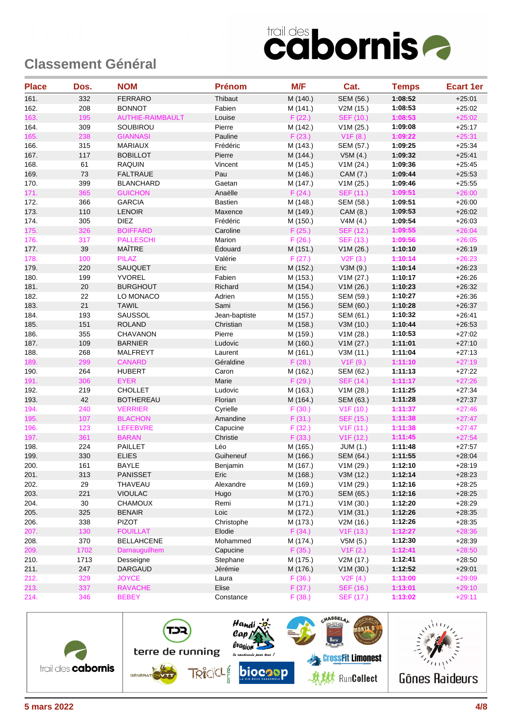| <b>Place</b> | Dos. | <b>NOM</b>              | <b>Prénom</b>  | M/F      | Cat.             | <b>Temps</b> | <b>Ecart 1er</b> |
|--------------|------|-------------------------|----------------|----------|------------------|--------------|------------------|
| 161.         | 332  | <b>FERRARO</b>          | Thibaut        | M (140.) | SEM (56.)        | 1:08:52      | $+25:01$         |
| 162.         | 208  | <b>BONNOT</b>           | Fabien         | M (141.) | V2M (15.)        | 1:08:53      | $+25:02$         |
| 163.         | 195  | <b>AUTHIE-RAIMBAULT</b> | Louise         | F(22.)   | <b>SEF (10.)</b> | 1:08:53      | $+25:02$         |
| 164.         | 309  | SOUBIROU                | Pierre         | M (142.) | V1M (25.)        | 1:09:08      | $+25:17$         |
| 165.         | 238  | <b>GIANNASI</b>         | Pauline        | F(23.)   | V1F(8.)          | 1:09:22      | $+25:31$         |
| 166.         | 315  | <b>MARIAUX</b>          | Frédéric       | M (143.) | SEM (57.)        | 1:09:25      | $+25:34$         |
| 167.         | 117  | <b>BOBILLOT</b>         | Pierre         | M (144.) | V5M(4.)          | 1:09:32      | $+25.41$         |
| 168.         | 61   | <b>RAQUIN</b>           | Vincent        | M (145.) | V1M (24.)        | 1:09:36      | $+25:45$         |
| 169.         | 73   | <b>FALTRAUE</b>         | Pau            | M (146.) | CAM (7.)         | 1:09:44      | $+25.53$         |
| 170.         | 399  | <b>BLANCHARD</b>        | Gaetan         | M (147.) | V1M (25.)        | 1:09:46      | $+25:55$         |
| 171.         | 365  | <b>GUICHON</b>          | Anaëlle        | F(24.)   | SEF (11.)        | 1:09:51      | $+26:00$         |
| 172.         | 366  | <b>GARCIA</b>           | <b>Bastien</b> | M (148.) | SEM (58.)        | 1:09:51      | $+26:00$         |
| 173.         | 110  | <b>LENOIR</b>           | Maxence        | M (149.) | CAM (8.)         | 1:09:53      | $+26:02$         |
| 174.         | 305  | <b>DIEZ</b>             | Frédéric       | M (150.) | V4M (4.)         | 1:09:54      | $+26:03$         |
| 175.         | 326  | <b>BOIFFARD</b>         | Caroline       | F(25.)   | SEF (12.)        | 1:09:55      | $+26:04$         |
| 176.         | 317  | <b>PALLESCHI</b>        | Marion         | F(26.)   | <b>SEF (13.)</b> | 1:09:56      | $+26:05$         |
| 177.         | 39   | MAÎTRE                  | Édouard        | M (151.) | V1M (26.)        | 1:10:10      | $+26.19$         |
| 178.         | 100  | <b>PILAZ</b>            | Valérie        | F(27.)   | V2F(3.)          | 1:10:14      | $+26:23$         |
| 179.         | 220  | SAUQUET                 | Eric           | M (152.) | V3M (9.)         | 1:10:14      | $+26.23$         |
| 180.         | 199  | <b>YVOREL</b>           | Fabien         | M (153.) | V1M (27.)        | 1:10:17      | $+26:26$         |
| 181.         | 20   | <b>BURGHOUT</b>         | Richard        | M (154.) | V1M(26.)         | 1:10:23      | $+26:32$         |
| 182.         | 22   | LO MONACO               | Adrien         | M (155.) | SEM (59.)        | 1:10:27      | $+26.36$         |
| 183.         | 21   | <b>TAWIL</b>            | Sami           | M (156.) | SEM (60.)        | 1:10:28      | $+26.37$         |
| 184.         | 193  | SAUSSOL                 | Jean-baptiste  | M (157.) | SEM (61.)        | 1:10:32      | $+26.41$         |
| 185.         | 151  | <b>ROLAND</b>           | Christian      | M (158.) | V3M (10.)        | 1:10:44      | $+26.53$         |
| 186.         | 355  | <b>CHAVANON</b>         | Pierre         | M (159.) | V1M (28.)        | 1:10:53      | $+27:02$         |
| 187.         | 109  | <b>BARNIER</b>          | Ludovic        | M (160.) | V1M (27.)        | 1:11:01      | $+27:10$         |
| 188.         | 268  | MALFREYT                | Laurent        | M (161.) | V3M (11.)        | 1:11:04      | $+27:13$         |
| 189.         | 299  | <b>CANARD</b>           | Géraldine      | F(28.)   | V1F(9.)          | 1:11:10      | $+27:19$         |
| 190.         | 264  | <b>HUBERT</b>           | Caron          | M (162.) | SEM (62.)        | 1:11:13      | $+27:22$         |
| 191.         | 306  | <b>EYER</b>             | Marie          | F(29.)   | <b>SEF (14.)</b> | 1:11:17      | $+27:26$         |
| 192.         | 219  | CHOLLET                 | Ludovic        | M (163.) | V1M (28.)        | 1:11:25      | $+27:34$         |
| 193.         | 42   | <b>BOTHEREAU</b>        | Florian        | M (164.) | SEM (63.)        | 1:11:28      | $+27:37$         |
| 194.         | 240  | <b>VERRIER</b>          | Cyrielle       | F(30.)   | V1F(10.)         | 1:11:37      | $+27:46$         |
| 195.         | 107  | <b>BLACHON</b>          | Amandine       | F(31.)   | <b>SEF (15.)</b> | 1:11:38      | $+27:47$         |
| 196.         | 123  | <b>LEFEBVRE</b>         | Capucine       | F(32.)   | V1F(11.)         | 1:11:38      | $+27:47$         |
| 197.         | 361  | <b>BARAN</b>            | Christie       | F(33.)   | V1F(12.)         | 1:11:45      | $+27:54$         |
| 198.         | 224  | <b>PAILLET</b>          | Léo            | M (165.) | <b>JUM (1.)</b>  | 1:11:48      | $+27:57$         |
| 199.         | 330  | <b>ELIES</b>            | Guiheneuf      | M (166.) | SEM (64.)        | 1:11:55      | $+28:04$         |
| 200.         | 161  | <b>BAYLE</b>            | Benjamin       | M (167.) | V1M (29.)        | 1:12:10      | $+28:19$         |
| 201.         | 313  | <b>PANISSET</b>         | Eric           | M (168.) | V3M (12.)        | 1:12:14      | $+28:23$         |
| 202.         | 29   | THAVEAU                 | Alexandre      | M (169.) | V1M (29.)        | 1:12:16      | $+28:25$         |
| 203.         | 221  | <b>VIOULAC</b>          | Hugo           | M (170.) | SEM (65.)        | 1:12:16      | $+28:25$         |
| 204.         | 30   | <b>CHAMOUX</b>          | Remi           |          | V1M (30.)        | 1:12:20      |                  |
|              |      |                         |                | M (171.) |                  |              | $+28:29$         |
| 205.         | 325  | <b>BENAIR</b>           | Loic           | M (172.) | V1M(31.)         | 1:12:26      | $+28:35$         |
| 206.         | 338  | PIZOT                   | Christophe     | M (173.) | V2M (16.)        | 1:12:26      | $+28:35$         |
| 207.         | 130  | <b>FOUILLAT</b>         | Elodie         | F(34.)   | V1F(13.)         | 1:12:27      | $+28:36$         |
| 208.         | 370  | <b>BELLAHCENE</b>       | Mohammed       | M (174.) | V5M(5.)          | 1:12:30      | $+28:39$         |
| 209.         | 1702 | Darnauguilhem           | Capucine       | F(35.)   | V1F(2.)          | 1:12:41      | $+28:50$         |
| 210.         | 1713 | Desseigne               | Stephane       | M (175.) | V2M(17.)         | 1:12:41      | $+28:50$         |
| 211.         | 247  | DARGAUD                 | Jérémie        | M (176.) | V1M (30.)        | 1:12:52      | $+29:01$         |
| 212.         | 329  | <b>JOYCE</b>            | Laura          | F(36.)   | V2F(4.)          | 1:13:00      | $+29:09$         |
| 213.         | 337  | <b>RAVACHE</b>          | Elise          | F(37.)   | SEF (16.)        | 1:13:01      | $+29:10$         |
| 214.         | 346  | <b>BEBEY</b>            | Constance      | F(38.)   | SEF (17.)        | 1:13:02      | $+29:11$         |

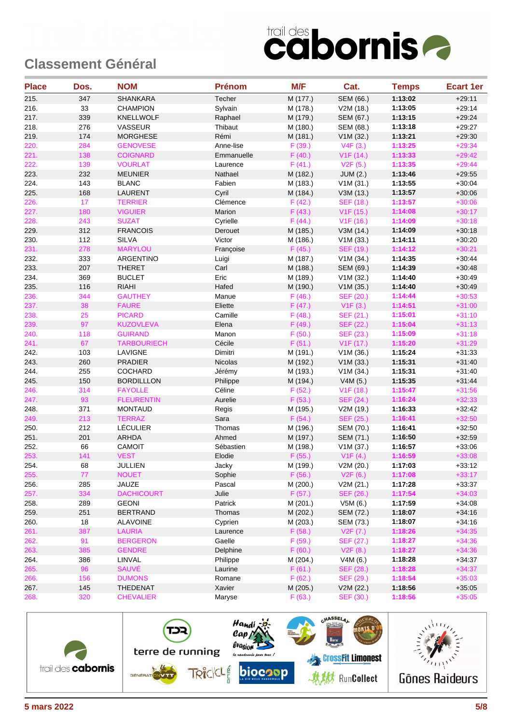| <b>Place</b> | Dos. | <b>NOM</b>         | <b>Prénom</b> | M/F      | Cat.                   | <b>Temps</b> | <b>Ecart 1er</b> |
|--------------|------|--------------------|---------------|----------|------------------------|--------------|------------------|
| 215.         | 347  | <b>SHANKARA</b>    | Techer        | M (177.) | <b>SEM (66.)</b>       | 1:13:02      | $+29:11$         |
| 216.         | 33   | <b>CHAMPION</b>    | Sylvain       | M (178.) | V2M (18.)              | 1:13:05      | $+29.14$         |
| 217.         | 339  | <b>KNELLWOLF</b>   | Raphael       | M (179.) | SEM (67.)              | 1:13:15      | $+29:24$         |
| 218.         | 276  | VASSEUR            | Thibaut       | M (180.) | SEM (68.)              | 1:13:18      | $+29:27$         |
| 219.         | 174  | <b>MORGHESE</b>    | Rémi          | M (181.) | V1M(32.)               | 1:13:21      | $+29.30$         |
| 220.         | 284  | <b>GENOVESE</b>    | Anne-lise     | F(39.)   | V4F(3.)                | 1:13:25      | $+29:34$         |
| 221.         | 138  | <b>COIGNARD</b>    | Emmanuelle    | F(40.)   | V1F(14.)               | 1:13:33      | $+29:42$         |
| 222.         | 139  | <b>VOURLAT</b>     | Laurence      | F(41.)   | V2F(5.)                | 1:13:35      | $+29:44$         |
| 223.         | 232  | <b>MEUNIER</b>     | Nathael       | M (182.) | <b>JUM (2.)</b>        | 1:13:46      | $+29:55$         |
| 224.         | 143  | <b>BLANC</b>       | Fabien        | M (183.) | V1M(31.)               | 1:13:55      | $+30:04$         |
| 225.         | 168  | <b>LAURENT</b>     | Cyril         | M (184.) | V3M (13.)              | 1:13:57      | $+30:06$         |
| 226.         | 17   | <b>TERRIER</b>     | Clémence      | F(42.)   | <b>SEF (18.)</b>       | 1:13:57      | $+30:06$         |
| 227.         | 180  | <b>VIGUIER</b>     | Marion        | F(43.)   | V1F(15.)               | 1:14:08      | $+30:17$         |
| 228.         | 243  | <b>SUZAT</b>       | Cyrielle      | F(44.)   | V1F(16.)               | 1:14:09      | $+30:18$         |
| 229.         | 312  | <b>FRANCOIS</b>    | Derouet       | M (185.) | V3M (14.)              | 1:14:09      | $+30:18$         |
| 230.         | 112  | <b>SILVA</b>       | Victor        | M (186.) | V1M (33.)              | 1:14:11      | $+30:20$         |
| 231.         | 278  | <b>MARYLOU</b>     | Françoise     | F(45.)   | <b>SEF (19.)</b>       | 1:14:12      | $+30:21$         |
| 232.         | 333  | ARGENTINO          | Luigi         | M (187.) | V1M (34.)              | 1:14:35      | $+30.44$         |
| 233.         | 207  | <b>THERET</b>      | Carl          | M (188.) | SEM (69.)              | 1:14:39      | $+30.48$         |
| 234.         | 369  | <b>BUCLET</b>      | Eric          | M (189.) | V1M (32.)              | 1:14:40      | $+30.49$         |
| 235.         | 116  | <b>RIAHI</b>       | Hafed         | M (190.) | V1M(35.)               | 1:14:40      | $+30.49$         |
| 236.         | 344  | <b>GAUTHEY</b>     | Manue         | F(46.)   | SEF (20.)              | 1:14:44      | $+30:53$         |
| 237.         | 38   | <b>FAURE</b>       | Eliette       | F(47.)   | V1F(3.)                | 1:14:51      | $+31:00$         |
| 238.         | 25   | <b>PICARD</b>      | Camille       | F(48.)   | SEF (21.)              | 1:15:01      | $+31:10$         |
| 239.         | 97   | <b>KUZOVLEVA</b>   | Elena         | F(49.)   | <b>SEF (22.)</b>       | 1:15:04      | $+31:13$         |
| 240.         | 118  | <b>GUIRAND</b>     | Manon         | F(50.)   | SEF (23.)              | 1:15:09      | $+31:18$         |
| 241.         | 67   | <b>TARBOURIECH</b> | Cécile        | F(51.)   | V <sub>1</sub> F (17.) | 1:15:20      | $+31:29$         |
| 242.         | 103  | LAVIGNE            | Dimitri       | M (191.) | V1M(36.)               | 1:15:24      | $+31:33$         |
| 243.         | 260  | <b>PRADIER</b>     | Nicolas       | M (192.) | V1M(33.)               | 1:15:31      | $+31:40$         |
| 244.         | 255  | COCHARD            | Jérémy        | M (193.) | V1M (34.)              | 1:15:31      | $+31:40$         |
| 245.         | 150  | <b>BORDILLLON</b>  | Philippe      | M (194.) | V4M(5.)                | 1:15:35      | $+31.44$         |
| 246.         | 314  | <b>FAYOLLE</b>     | Céline        | F(52.)   | V1F(18.)               | 1:15:47      | $+31:56$         |
| 247.         | 93   | <b>FLEURENTIN</b>  | Aurelie       | F(53.)   | <b>SEF (24.)</b>       | 1:16:24      | $+32:33$         |
| 248.         | 371  | <b>MONTAUD</b>     | Regis         | M (195.) | V2M (19.)              | 1:16:33      | $+32:42$         |
| 249.         | 213  | <b>TERRAZ</b>      | Sara          | F(54.)   | <b>SEF (25.)</b>       | 1:16:41      | $+32:50$         |
| 250.         | 212  | <b>LÉCULIER</b>    | Thomas        | M (196.) | SEM (70.)              | 1:16:41      | $+32:50$         |
| 251.         | 201  | <b>ARHDA</b>       | Ahmed         | M (197.) | SEM (71.)              | 1:16:50      | $+32:59$         |
| 252.         | 66   | CAMOIT             | Sébastien     | M (198.) | V1M (37.)              | 1:16:57      | $+33:06$         |
| 253.         | 141  | <b>VEST</b>        | Elodie        | F(55.)   | V1F(4.)                | 1:16:59      | $+33:08$         |
| 254.         | 68   | JULLIEN            | Jacky         | M (199.) | V2M (20.)              | 1:17:03      | $+33:12$         |
| 255.         | 77   | <b>NOUET</b>       | Sophie        | F(56.)   | V2F(6.)                | 1:17:08      | $+33:17$         |
| 256.         | 285  | JAUZE              | Pascal        | M (200.) | V2M(21.)               | 1:17:28      | $+33.37$         |
| 257.         | 334  | <b>DACHICOURT</b>  | Julie         | F(57.)   | SEF (26.)              | 1:17:54      | $+34:03$         |
| 258.         | 289  | <b>GEONI</b>       | Patrick       | M (201.) | V5M (6.)               | 1:17:59      | $+34:08$         |
| 259.         | 251  | <b>BERTRAND</b>    | Thomas        | M (202.) | SEM (72.)              | 1:18:07      | $+34:16$         |
| 260.         | 18   | <b>ALAVOINE</b>    | Cyprien       | M (203.) | SEM (73.)              | 1:18:07      | $+34.16$         |
| 261.         | 387  | <b>LAURIA</b>      | Laurence      | F(58.)   | V2F(7.)                | 1:18:26      | $+34:35$         |
| 262.         | 91   | <b>BERGERON</b>    | Gaelle        | F(59.)   | SEF (27.)              | 1:18:27      | $+34:36$         |
| 263.         | 385  | <b>GENDRE</b>      | Delphine      | F(60.)   | V2F(8.)                | 1:18:27      | $+34:36$         |
| 264.         | 386  | LINVAL             | Philippe      | M (204.) | V4M (6.)               | 1:18:28      | $+34.37$         |
| 265.         | 96   | <b>SAUVÉ</b>       | Laurine       | F(61.)   | <b>SEF (28.)</b>       | 1:18:28      | $+34:37$         |
| 266.         | 156  | <b>DUMONS</b>      | Romane        | F(62.)   | SEF (29.)              | 1:18:54      | $+35:03$         |
| 267.         | 145  | <b>THEDENAT</b>    | Xavier        | M (205.) | V2M (22.)              | 1:18:56      | $+35:05$         |
| 268.         | 320  | <b>CHEVALIER</b>   | Maryse        | F(63.)   | SEF (30.)              | 1:18:56      | $+35:05$         |

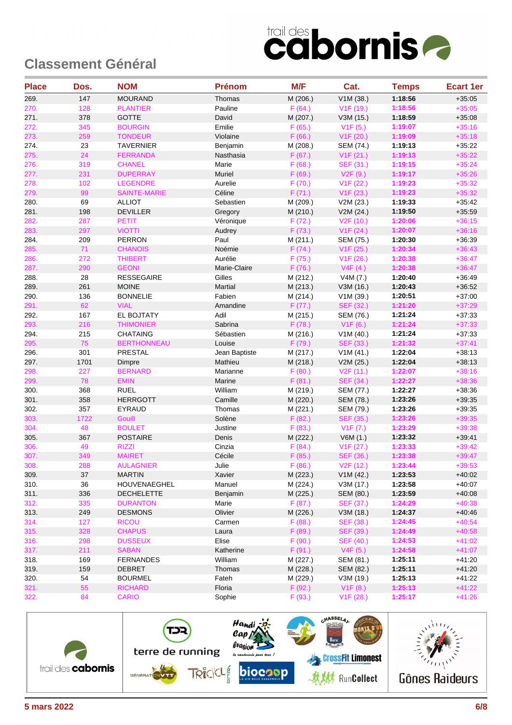| <b>Place</b> | Dos. | <b>NOM</b>          | <b>Prénom</b>  | M/F      | Cat.                   | <b>Temps</b> | <b>Ecart 1er</b> |
|--------------|------|---------------------|----------------|----------|------------------------|--------------|------------------|
| 269.         | 147  | <b>MOURAND</b>      | Thomas         | M (206.) | V1M (38.)              | 1:18:56      | $+35:05$         |
| 270.         | 128  | <b>PLANTIER</b>     | Pauline        | F(64.)   | V1F(19.)               | 1:18:56      | $+35:05$         |
| 271.         | 378  | <b>GOTTE</b>        | David          | M (207.) | V3M (15.)              | 1:18:59      | $+35:08$         |
| 272.         | 345  | <b>BOURGIN</b>      | Emilie         | F(65.)   | V1F(5.)                | 1:19:07      | $+35:16$         |
| 273.         | 259  | <b>TONDEUR</b>      | Violaine       | F(66.)   | V1F(20.)               | 1:19:09      | $+35:18$         |
| 274.         | 23   | <b>TAVERNIER</b>    | Benjamin       | M (208.) | <b>SEM (74.)</b>       | 1:19:13      | $+35:22$         |
| 275.         | 24   | <b>FERRANDA</b>     | Nasthasia      | F(67.)   | V1F(21.)               | 1:19:13      | $+35:22$         |
| 276.         | 319  | <b>CHANEL</b>       | Marie          | F(68.)   | SEF (31.)              | 1:19:15      | $+35:24$         |
| 277.         | 231  | <b>DUPERRAY</b>     | Muriel         | F (69.)  | V2F(9.)                | 1:19:17      | $+35:26$         |
| 278.         | 102  | <b>LEGENDRE</b>     | Aurelie        | F(70.)   | V1F(22.)               | 1:19:23      | $+35:32$         |
| 279.         | 99   | <b>SAINTE-MARIE</b> | Céline         | F(71.)   | V1F(23.)               | 1:19:23      | $+35:32$         |
| 280.         | 69   | <b>ALLIOT</b>       | Sebastien      | M (209.) | V2M (23.)              | 1:19:33      | $+35:42$         |
| 281.         | 198  | <b>DEVILLER</b>     | Gregory        | M (210.) | V2M (24.)              | 1:19:50      | $+35.59$         |
| 282.         | 287  | PETIT               | Véronique      | F(72.)   | V2F(10.)               | 1:20:06      | $+36:15$         |
| 283.         | 297  | <b>VIOTTI</b>       | Audrey         | F(73.)   | V1F(24.)               | 1:20:07      | $+36:16$         |
| 284.         | 209  | <b>PERRON</b>       | Paul           | M (211.) | SEM (75.)              | 1:20:30      | $+36:39$         |
| 285.         | 71   | <b>CHANOIS</b>      | Noémie         | F(74.)   | V1F(25.)               | 1:20:34      | $+36:43$         |
| 286.         | 272  | <b>THIBERT</b>      | Aurélie        | F(75.)   | V1F(26.)               | 1:20:38      | $+36:47$         |
| 287.         | 290  | <b>GEONI</b>        | Marie-Claire   | F(76.)   | V4F(4.)                | 1:20:38      | $+36:47$         |
| 288.         | 28   | <b>RESSEGAIRE</b>   | Gilles         | M (212.) | V4M(7.)                | 1:20:40      | $+36.49$         |
| 289.         | 261  | <b>MOINE</b>        | <b>Martial</b> | M (213.) | V3M (16.)              | 1:20:43      | $+36.52$         |
| 290.         | 136  | <b>BONNELIE</b>     | Fabien         | M (214.) | V1M (39.)              | 1:20:51      | $+37:00$         |
| 291.         | 62   | <b>VIAL</b>         | Amandine       | F(77.)   | SEF (32.)              | 1:21:20      | $+37:29$         |
| 292.         | 167  | EL BOJTATY          | Adil           | M (215.) | SEM (76.)              | 1:21:24      | $+37:33$         |
| 293.         | 216  | <b>THIMONIER</b>    | Sabrina        | F(78.)   | V1F(6.)                | 1:21:24      | $+37:33$         |
| 294.         | 215  | <b>CHATAING</b>     | Sébastien      | M (216.) | V1M(40.)               | 1:21:24      | $+37:33$         |
| 295.         | 75   | <b>BERTHONNEAU</b>  | Louise         | F(79.)   | <b>SEF (33.)</b>       | 1:21:32      | $+37:41$         |
| 296.         | 301  | PRESTAL             | Jean Baptiste  | M (217.) | V1M(41.)               | 1:22:04      | $+38:13$         |
| 297.         | 1701 | Dimpre              | Mathieu        | M (218.) | V2M (25.)              | 1:22:04      | $+38:13$         |
| 298.         | 227  | <b>BERNARD</b>      | Marianne       | F(80.)   | V2F(11.)               | 1:22:07      | $+38:16$         |
| 299.         | 78   | <b>EMIN</b>         | Marine         | F(81.)   | SEF (34.)              | 1:22:27      | $+38:36$         |
| 300.         | 368  | <b>RUEL</b>         | William        | M (219.) | SEM (77.)              | 1:22:27      | $+38.36$         |
| 301.         | 358  | <b>HERRGOTT</b>     | Camille        | M (220.) | SEM (78.)              | 1:23:26      | $+39.35$         |
| 302.         | 357  | EYRAUD              | Thomas         | M (221.) | SEM (79.)              | 1:23:26      | $+39.35$         |
| 303.         | 1722 | <b>Gouill</b>       | Solène         | F(82.)   | SEF (35.)              | 1:23:26      | $+39:35$         |
| 304.         | 48   | <b>BOULET</b>       | Justine        | F(83.)   | V1F(7.)                | 1:23:29      | $+39:38$         |
| 305.         | 367  | <b>POSTAIRE</b>     | Denis          | M (222.) | V6M(1.)                | 1:23:32      | $+39.41$         |
| 306.         | 49   | <b>RIZZI</b>        | Cinzia         | F(84.)   | V1F(27.)               | 1:23:33      | $+39:42$         |
| 307.         | 349  | <b>MAIRET</b>       | Cécile         | F(85.)   | <b>SEF (36.)</b>       | 1:23:38      | $+39:47$         |
| 308.         | 288  | <b>AULAGNIER</b>    | Julie          | F(86.)   | V <sub>2</sub> F (12.) | 1:23:44      | $+39:53$         |
| 309.         | 37   | <b>MARTIN</b>       | Xavier         | M (223.) | V1M (42.)              | 1:23:53      | $+40:02$         |
| 310.         | 36   | HOUVENAEGHEL        | Manuel         | M (224.) | V3M (17.)              | 1:23:58      | $+40:07$         |
| 311.         | 336  | <b>DECHELETTE</b>   | Benjamin       | M (225.) | SEM (80.)              | 1:23:59      | $+40:08$         |
| 312.         | 335  | <b>DURANTON</b>     | Marie          | F(87.)   | SEF (37.)              | 1:24:29      | $+40:38$         |
| 313.         | 249  | <b>DESMONS</b>      | Olivier        | M (226.) | V3M (18.)              | 1:24:37      | $+40.46$         |
| 314.         | 127  | <b>RICOU</b>        | Carmen         | F(88.)   | SEF (38.)              | 1:24:45      | $+40:54$         |
| 315.         | 328  | <b>CHAPUS</b>       | Laura          | F(89.)   | SEF (39.)              | 1:24:49      | $+40:58$         |
| 316.         | 298  | <b>DUSSEUX</b>      | Elise          | F(90.)   | SEF (40.)              | 1:24:53      | $+41:02$         |
| 317.         | 211  | <b>SABAN</b>        | Katherine      | F(91.)   | V4F(5.)                | 1:24:58      | $+41:07$         |
| 318.         | 169  | <b>FERNANDES</b>    | William        | M (227.) | SEM (81.)              | 1:25:11      | $+41:20$         |
| 319.         | 159  | <b>DEBRET</b>       | Thomas         | M (228.) | SEM (82.)              | 1:25:11      | $+41:20$         |
| 320.         | 54   | <b>BOURMEL</b>      | Fateh          | M (229.) | V3M (19.)              | 1:25:13      | $+41:22$         |
| 321.         | 55   | <b>RICHARD</b>      | Floria         | F(92.)   | V1F(8.)                | 1:25:13      | $+41:22$         |
| 322.         | 84   | <b>CARIO</b>        | Sophie         | F(93.)   | V1F(28.)               | 1:25:17      | $+41:26$         |

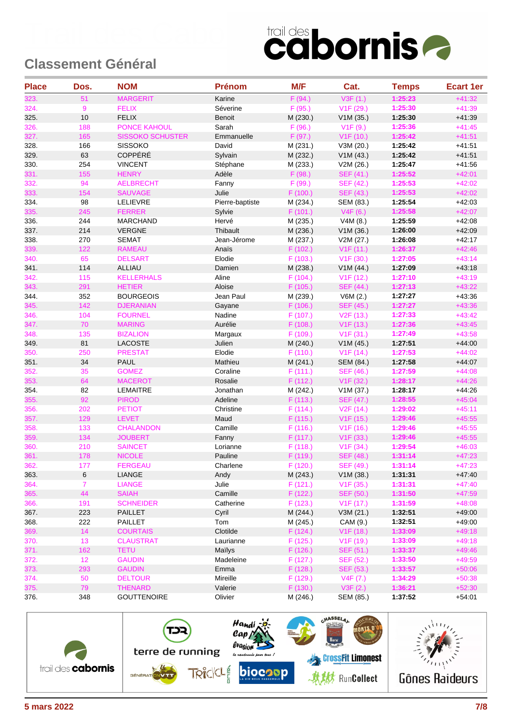| <b>Place</b> | Dos. | <b>NOM</b>              | <b>Prénom</b>   | M/F      | Cat.                   | <b>Temps</b> | <b>Ecart 1er</b> |
|--------------|------|-------------------------|-----------------|----------|------------------------|--------------|------------------|
| 323.         | 51   | <b>MARGERIT</b>         | Karine          | F(94.)   | V3F(1.)                | 1:25:23      | $+41:32$         |
| 324.         | 9    | <b>FELIX</b>            | Séverine        | F(95.)   | V1F (29.)              | 1:25:30      | $+41:39$         |
| 325.         | 10   | <b>FELIX</b>            | <b>Benoit</b>   | M (230.) | V1M (35.)              | 1:25:30      | $+41:39$         |
| 326.         | 188  | <b>PONCE KAHOUL</b>     | Sarah           | F(96.)   | V1F(9.)                | 1:25:36      | $+41:45$         |
| 327.         | 165  | <b>SISSOKO SCHUSTER</b> | Emmanuelle      | F(97.)   | V <sub>1</sub> F (10.) | 1:25:42      | $+41:51$         |
| 328.         | 166  | <b>SISSOKO</b>          | David           | M (231.) | V3M (20.)              | 1:25:42      | $+41.51$         |
| 329.         | 63   | COPPÉRÉ                 | Sylvain         | M (232.) | V1M(43.)               | 1:25:42      | $+41.51$         |
| 330.         | 254  | <b>VINCENT</b>          | Stéphane        | M (233.) | V2M (26.)              | 1:25:47      | $+41:56$         |
| 331.         | 155  | <b>HENRY</b>            | Adèle           | F(98.)   | SEF (41.)              | 1:25:52      | $+42:01$         |
| 332.         | 94   | <b>AELBRECHT</b>        | Fanny           | F (99.)  | SEF (42.)              | 1:25:53      | $+42:02$         |
| 333.         | 154  | <b>SAUVAGE</b>          | Julie           | F (100.) | SEF (43.)              | 1:25:53      | $+42:02$         |
| 334.         | 98   | LELIEVRE                | Pierre-baptiste | M (234.) | SEM (83.)              | 1:25:54      | $+42:03$         |
| 335.         | 245  | <b>FERRER</b>           | Sylvie          | F(101.)  | V4F(6.)                | 1:25:58      | $+42:07$         |
| 336.         | 244  | <b>MARCHAND</b>         | Hervé           | M (235.) | V4M (8.)               | 1:25:59      | $+42:08$         |
| 337.         | 214  | <b>VERGNE</b>           | Thibault        | M (236.) | V1M (36.)              | 1:26:00      | $+42:09$         |
| 338.         | 270  | <b>SEMAT</b>            | Jean-Jérome     | M (237.) | V2M (27.)              | 1:26:08      | $+42:17$         |
| 339.         | 122  | <b>RAMEAU</b>           | Anais           | F(102.)  | V1F(11.)               | 1:26:37      | $+42:46$         |
| 340.         | 65   | <b>DELSART</b>          | Elodie          | F(103.)  | V1F(30.)               | 1:27:05      | $+43:14$         |
| 341.         | 114  | <b>ALLIAU</b>           | Damien          | M (238.) | V1M (44.)              | 1:27:09      | $+43:18$         |
| 342.         | 115  | <b>KELLERHALS</b>       | Aline           | F(104.)  | V <sub>1</sub> F (12.) | 1:27:10      | $+43:19$         |
| 343.         | 291  | <b>HETIER</b>           | Aloise          | F(105.)  | SEF (44.)              | 1:27:13      | $+43:22$         |
| 344.         | 352  | <b>BOURGEOIS</b>        | Jean Paul       | M (239.) | V6M (2.)               | 1:27:27      | $+43.36$         |
| 345.         | 142  | <b>DJERANIAN</b>        | Gayane          | F(106.)  | SEF (45.)              | 1:27:27      | $+43:36$         |
| 346.         | 104  | <b>FOURNEL</b>          | Nadine          | F(107.)  | V <sub>2</sub> F (13.) | 1:27:33      | $+43:42$         |
| 347.         | 70   | <b>MARING</b>           | Aurélie         | F(108.)  | V1F(13.)               | 1:27:36      | $+43:45$         |
| 348.         | 135  | <b>BIZALION</b>         | Margaux         | F(109.)  | V <sub>1</sub> F (31.) | 1:27:49      | $+43:58$         |
| 349.         | 81   | <b>LACOSTE</b>          | Julien          | M (240.) | V1M(45.)               | 1:27:51      | $+44:00$         |
| 350.         | 250  | <b>PRESTAT</b>          | Elodie          | F(110.)  | V1F(14.)               | 1:27:53      | $+44:02$         |
| 351.         | 34   | <b>PAUL</b>             | Mathieu         | M (241.) | SEM (84.)              | 1:27:58      | $+44.07$         |
| 352.         | 35   | <b>GOMEZ</b>            | Coraline        | F(111.)  | SEF (46.)              | 1:27:59      | $+44:08$         |
| 353.         | 64   | <b>MACEROT</b>          | Rosalie         | F (112.) | V1F(32.)               | 1:28:17      | $+44:26$         |
| 354.         | 82   | <b>LEMAITRE</b>         | Jonathan        | M (242.) | V1M (37.)              | 1:28:17      | $+44.26$         |
| 355.         | 92   | <b>PIROD</b>            | Adeline         | F(113.)  | SEF (47.)              | 1:28:55      | $+45:04$         |
| 356.         | 202  | <b>PETIOT</b>           | Christine       | F(114.)  | V <sub>2</sub> F (14.) | 1:29:02      | $+45:11$         |
| 357.         | 129  | <b>LEVET</b>            | Maud            | F (115.) | V <sub>1</sub> F (15.) | 1:29:46      | $+45:55$         |
| 358.         | 133  | <b>CHALANDON</b>        | Camille         | F(116.)  | V <sub>1</sub> F (16.) | 1:29:46      | $+45:55$         |
| 359.         | 134  | <b>JOUBERT</b>          | Fanny           | F(117.)  | V1F(33.)               | 1:29:46      | $+45:55$         |
| 360.         | 210  | <b>SAINCET</b>          | Lorianne        | F(118.)  | V1F(34.)               | 1:29:54      | $+46:03$         |
| 361.         | 178  | <b>NICOLE</b>           | Pauline         | F (119.) | <b>SEF (48.)</b>       | 1:31:14      | $+47:23$         |
| 362.         | 177  | <b>FERGEAU</b>          | Charlene        | F (120.) | SEF (49.)              | 1:31:14      | $+47:23$         |
| 363.         | 6    | LIANGE                  | Andy            | M (243.) | V1M(38.)               | 1:31:31      | $+47:40$         |
| 364.         | 7.   | <b>LIANGE</b>           | Julie           | F(121.)  | V <sub>1</sub> F (35.) | 1:31:31      | $+47:40$         |
| 365.         | 44   | <b>SAIAH</b>            | Camille         | F(122.)  | <b>SEF (50.)</b>       | 1:31:50      | $+47:59$         |
| 366.         | 191  | <b>SCHNEIDER</b>        | Catherine       | F(123.)  | V1F(17.)               | 1:31:59      | $+48:08$         |
| 367.         | 223  | <b>PAILLET</b>          | Cyril           | M (244.) | V3M(21.)               | 1:32:51      | $+49:00$         |
| 368.         | 222  | <b>PAILLET</b>          | Tom             | M (245.) | CAM (9.)               | 1:32:51      | $+49:00$         |
| 369.         | 14   | <b>COURTAIS</b>         | Clotilde        | F(124.)  | V <sub>1</sub> F (18.) | 1:33:09      | $+49:18$         |
| 370.         | 13   | <b>CLAUSTRAT</b>        | Laurianne       | F(125.)  | V <sub>1</sub> F (19.) | 1:33:09      | $+49:18$         |
| 371.         | 162  | <b>TETU</b>             | Mailys          | F(126.)  | <b>SEF (51.)</b>       | 1:33:37      | $+49:46$         |
| 372.         | 12   | <b>GAUDIN</b>           | Madeleine       | F(127.)  | SEF (52.)              | 1:33:50      | $+49:59$         |
| 373.         | 293  | <b>GAUDIN</b>           | Emma            | F (128.) | SEF (53.)              | 1:33:57      | $+50:06$         |
| 374.         | 50   | <b>DELTOUR</b>          | Mireille        | F (129.) | V4F(7.)                | 1:34:29      | $+50:38$         |
| 375.         | 79   | <b>THENARD</b>          | Valerie         | F(130.)  | V3F(2.)                | 1:36:21      | $+52:30$         |
| 376.         | 348  | <b>GOUTTENOIRE</b>      | Olivier         | M (246.) | SEM (85.)              | 1:37:52      | $+54:01$         |